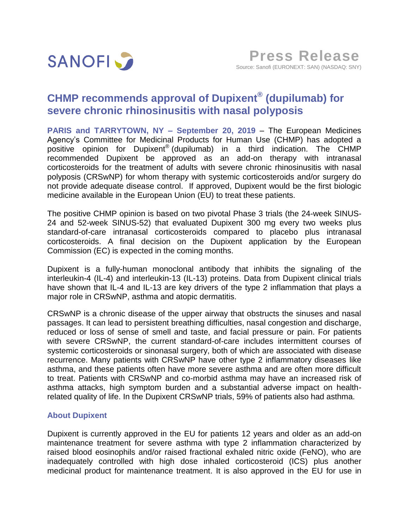

# **CHMP recommends approval of Dupixent® (dupilumab) for severe chronic rhinosinusitis with nasal polyposis**

**PARIS and TARRYTOWN, NY – September 20, 2019** – The European Medicines Agency's Committee for Medicinal Products for Human Use (CHMP) has adopted a positive opinion for Dupixent® (dupilumab) in a third indication. The CHMP recommended Dupixent be approved as an add-on therapy with intranasal corticosteroids for the treatment of adults with severe chronic rhinosinusitis with nasal polyposis (CRSwNP) for whom therapy with systemic corticosteroids and/or surgery do not provide adequate disease control. If approved, Dupixent would be the first biologic medicine available in the European Union (EU) to treat these patients.

The positive CHMP opinion is based on two pivotal Phase 3 trials (the 24-week SINUS-24 and 52-week SINUS-52) that evaluated Dupixent 300 mg every two weeks plus standard-of-care intranasal corticosteroids compared to placebo plus intranasal corticosteroids. A final decision on the Dupixent application by the European Commission (EC) is expected in the coming months.

Dupixent is a fully-human monoclonal antibody that inhibits the signaling of the interleukin-4 (IL-4) and interleukin-13 (IL-13) proteins. Data from Dupixent clinical trials have shown that IL-4 and IL-13 are key drivers of the type 2 inflammation that plays a major role in CRSwNP, asthma and atopic dermatitis.

CRSwNP is a chronic disease of the upper airway that obstructs the sinuses and nasal passages. It can lead to persistent breathing difficulties, nasal congestion and discharge, reduced or loss of sense of smell and taste, and facial pressure or pain. For patients with severe CRSwNP, the current standard-of-care includes intermittent courses of systemic corticosteroids or sinonasal surgery, both of which are associated with disease recurrence. Many patients with CRSwNP have other type 2 inflammatory diseases like asthma, and these patients often have more severe asthma and are often more difficult to treat. Patients with CRSwNP and co-morbid asthma may have an increased risk of asthma attacks, high symptom burden and a substantial adverse impact on healthrelated quality of life. In the Dupixent CRSwNP trials, 59% of patients also had asthma.

# **About Dupixent**

Dupixent is currently approved in the EU for patients 12 years and older as an add-on maintenance treatment for severe asthma with type 2 inflammation characterized by raised blood eosinophils and/or raised fractional exhaled nitric oxide (FeNO), who are inadequately controlled with high dose inhaled corticosteroid (ICS) plus another medicinal product for maintenance treatment. It is also approved in the EU for use in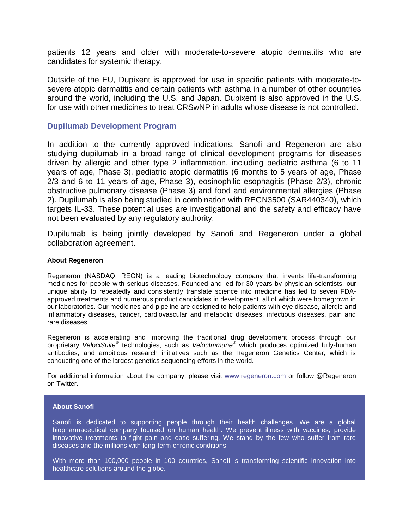patients 12 years and older with moderate-to-severe atopic dermatitis who are candidates for systemic therapy.

Outside of the EU, Dupixent is approved for use in specific patients with moderate-tosevere atopic dermatitis and certain patients with asthma in a number of other countries around the world, including the U.S. and Japan. Dupixent is also approved in the U.S. for use with other medicines to treat CRSwNP in adults whose disease is not controlled.

## **Dupilumab Development Program**

In addition to the currently approved indications, Sanofi and Regeneron are also studying dupilumab in a broad range of clinical development programs for diseases driven by allergic and other type 2 inflammation, including pediatric asthma (6 to 11 years of age, Phase 3), pediatric atopic dermatitis (6 months to 5 years of age, Phase 2/3 and 6 to 11 years of age, Phase 3), eosinophilic esophagitis (Phase 2/3), chronic obstructive pulmonary disease (Phase 3) and food and environmental allergies (Phase 2). Dupilumab is also being studied in combination with REGN3500 (SAR440340), which targets IL-33. These potential uses are investigational and the safety and efficacy have not been evaluated by any regulatory authority.

Dupilumab is being jointly developed by Sanofi and Regeneron under a global collaboration agreement.

## **About Regeneron**

Regeneron (NASDAQ: REGN) is a leading biotechnology company that invents life-transforming medicines for people with serious diseases. Founded and led for 30 years by physician-scientists, our unique ability to repeatedly and consistently translate science into medicine has led to seven FDAapproved treatments and numerous product candidates in development, all of which were homegrown in our laboratories. Our medicines and pipeline are designed to help patients with eye disease, allergic and inflammatory diseases, cancer, cardiovascular and metabolic diseases, infectious diseases, pain and rare diseases.

Regeneron is accelerating and improving the traditional drug development process through our proprietary *VelociSuite®* technologies, such as *VelocImmune®* which produces optimized fully-human antibodies, and ambitious research initiatives such as the Regeneron Genetics Center, which is conducting one of the largest genetics sequencing efforts in the world.

For additional information about the company, please visit [www.regeneron.com](http://www.regeneron.com/) or follow @Regeneron on Twitter.

## **About Sanofi**

Sanofi is dedicated to supporting people through their health challenges. We are a global biopharmaceutical company focused on human health. We prevent illness with vaccines, provide innovative treatments to fight pain and ease suffering. We stand by the few who suffer from rare diseases and the millions with long-term chronic conditions.

With more than 100,000 people in 100 countries, Sanofi is transforming scientific innovation into healthcare solutions around the globe.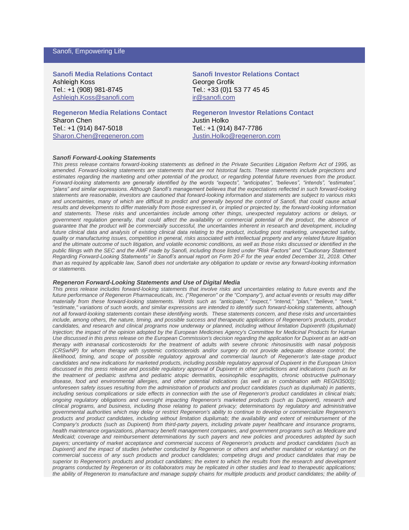#### Sanofi, Empowering Life

**Sanofi Media Relations Contact** Ashleigh Koss Tel.: +1 (908) 981-8745 Ashleigh.Koss@sanofi.com

**Regeneron Media Relations Contact** Sharon Chen Tel.: +1 (914) 847-5018 [Sharon.Chen@regeneron.com](mailto:Sharon.Chen@regeneron.com)

#### **Sanofi Investor Relations Contact** George Grofik Tel.: +33 (0)1 53 77 45 45 [ir@sanofi.com](mailto:ir@sanofi.com)

**Regeneron Investor Relations Contact** Justin Holko Tel.: +1 (914) 847-7786 [Justin.Holko@regeneron.com](mailto:Justin.Holko@regeneron.com)

#### *Sanofi Forward-Looking Statements*

*This press release contains forward-looking statements as defined in the Private Securities Litigation Reform Act of 1995, as amended. Forward-looking statements are statements that are not historical facts. These statements include projections and estimates regarding the marketing and other potential of the product, or regarding potential future revenues from the product. Forward-looking statements are generally identified by the words "expects", "anticipates", "believes", "intends", "estimates", "plans" and similar expressions. Although Sanofi's management believes that the expectations reflected in such forward-looking statements are reasonable, investors are cautioned that forward-looking information and statements are subject to various risks*  and uncertainties, many of which are difficult to predict and generally beyond the control of Sanofi, that could cause actual *results and developments to differ materially from those expressed in, or implied or projected by, the forward-looking information*  and statements. These risks and uncertainties include among other things, unexpected regulatory actions or delays, or *government regulation generally, that could affect the availability or commercial potential of the product, the absence of guarantee that the product will be commercially successful, the uncertainties inherent in research and development, including future clinical data and analysis of existing clinical data relating to the product, including post marketing, unexpected safety, quality or manufacturing issues, competition in general, risks associated with intellectual property and any related future litigation*  and the ultimate outcome of such litigation, and volatile economic conditions, as well as those risks discussed or identified in the *public filings with the SEC and the AMF made by Sanofi, including those listed under "Risk Factors" and "Cautionary Statement Regarding Forward-Looking Statements" in Sanofi's annual report on Form 20-F for the year ended December 31, 2018. Other than as required by applicable law, Sanofi does not undertake any obligation to update or revise any forward-looking information or statements.*

#### *Regeneron Forward-Looking Statements and Use of Digital Media*

*This press release includes forward-looking statements that involve risks and uncertainties relating to future events and the future performance of Regeneron Pharmaceuticals, Inc. ("Regeneron" or the "Company"), and actual events or results may differ materially from these forward-looking statements. Words such as "anticipate," "expect," "intend," "plan," "believe," "seek," "estimate," variations of such words, and similar expressions are intended to identify such forward-looking statements, although not all forward-looking statements contain these identifying words. These statements concern, and these risks and uncertainties*  include, among others, the nature, timing, and possible success and therapeutic applications of Regeneron's products, product *candidates, and research and clinical programs now underway or planned, including without limitation Dupixent® (dupilumab) Injection; the impact of the opinion adopted by the European Medicines Agency's Committee for Medicinal Products for Human Use discussed in this press release on the European Commission's decision regarding the application for Dupixent as an add-on therapy with intranasal corticosteroids for the treatment of adults with severe chronic rhinosinusitis with nasal polyposis (CRSwNP) for whom therapy with systemic corticosteroids and/or surgery do not provide adequate disease control; the*  likelihood, timing, and scope of possible regulatory approval and commercial launch of Regeneron's late-stage product *candidates and new indications for marketed products, including possible regulatory approval of Dupixent in the European Union discussed in this press release and possible regulatory approval of Dupixent in other jurisdictions and indications (such as for the treatment of pediatric asthma and pediatric atopic dermatitis, eosinophilic esophagitis, chronic obstructive pulmonary*  disease, food and environmental allergies, and other potential indications (as well as in combination with REGN3500)); *unforeseen safety issues resulting from the administration of products and product candidates (such as dupilumab) in patients, including serious complications or side effects in connection with the use of Regeneron's product candidates in clinical trials; ongoing regulatory obligations and oversight impacting Regeneron's marketed products (such as Dupixent), research and clinical programs, and business, including those relating to patient privacy; determinations by regulatory and administrative governmental authorities which may delay or restrict Regeneron's ability to continue to develop or commercialize Regeneron's products and product candidates, including without limitation dupilumab; the availability and extent of reimbursement of the Company's products (such as Dupixent) from third-party payers, including private payer healthcare and insurance programs, health maintenance organizations, pharmacy benefit management companies, and government programs such as Medicare and Medicaid; coverage and reimbursement determinations by such payers and new policies and procedures adopted by such payers; uncertainty of market acceptance and commercial success of Regeneron's products and product candidates (such as Dupixent) and the impact of studies (whether conducted by Regeneron or others and whether mandated or voluntary) on the commercial success of any such products and product candidates; competing drugs and product candidates that may be superior to Regeneron's products and product candidates; the extent to which the results from the research and development programs conducted by Regeneron or its collaborators may be replicated in other studies and lead to therapeutic applications;* the ability of Regeneron to manufacture and manage supply chains for multiple products and product candidates; the ability of